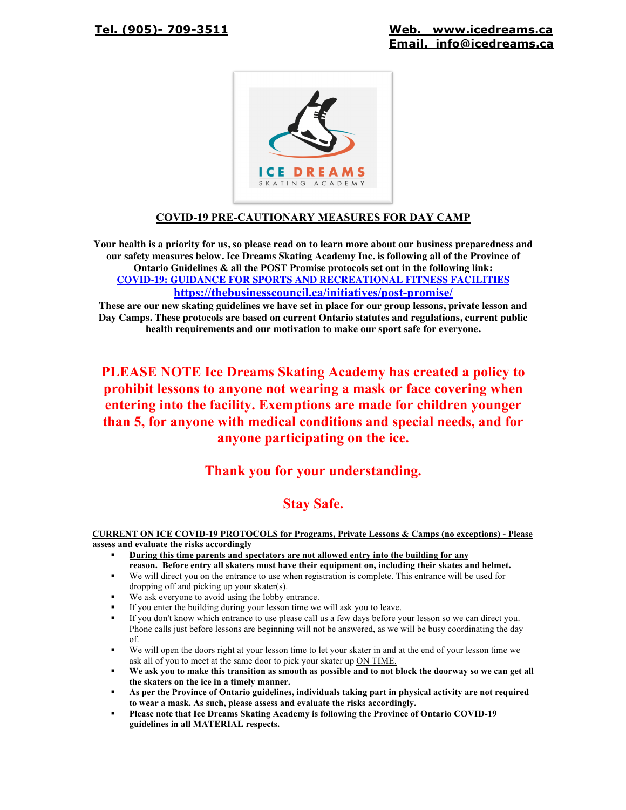

## **COVID-19 PRE-CAUTIONARY MEASURES FOR DAY CAMP**

**Your health is a priority for us, so please read on to learn more about our business preparedness and our safety measures below. Ice Dreams Skating Academy Inc. is following all of the Province of Ontario Guidelines & all the POST Promise protocols set out in the following link: COVID-19: GUIDANCE FOR SPORTS AND RECREATIONAL FITNESS FACILITIES https://thebusinesscouncil.ca/initiatives/post-promise/**

**These are our new skating guidelines we have set in place for our group lessons, private lesson and Day Camps. These protocols are based on current Ontario statutes and regulations, current public health requirements and our motivation to make our sport safe for everyone.**

# **PLEASE NOTE Ice Dreams Skating Academy has created a policy to prohibit lessons to anyone not wearing a mask or face covering when entering into the facility. Exemptions are made for children younger than 5, for anyone with medical conditions and special needs, and for anyone participating on the ice.**

# **Thank you for your understanding.**

# **Stay Safe.**

#### **CURRENT ON ICE COVID-19 PROTOCOLS for Programs, Private Lessons & Camps (no exceptions) - Please assess and evaluate the risks accordingly**

- ! **During this time parents and spectators are not allowed entry into the building for any reason. Before entry all skaters must have their equipment on, including their skates and helmet.**
- We will direct you on the entrance to use when registration is complete. This entrance will be used for dropping off and picking up your skater(s).
- We ask everyone to avoid using the lobby entrance.
- ! If you enter the building during your lesson time we will ask you to leave.
- ! If you don't know which entrance to use please call us a few days before your lesson so we can direct you. Phone calls just before lessons are beginning will not be answered, as we will be busy coordinating the day of.
- We will open the doors right at your lesson time to let your skater in and at the end of your lesson time we ask all of you to meet at the same door to pick your skater up ON TIME.
- ! **We ask you to make this transition as smooth as possible and to not block the doorway so we can get all the skaters on the ice in a timely manner.**
- ! **As per the Province of Ontario guidelines, individuals taking part in physical activity are not required to wear a mask. As such, please assess and evaluate the risks accordingly.**
- ! **Please note that Ice Dreams Skating Academy is following the Province of Ontario COVID-19 guidelines in all MATERIAL respects.**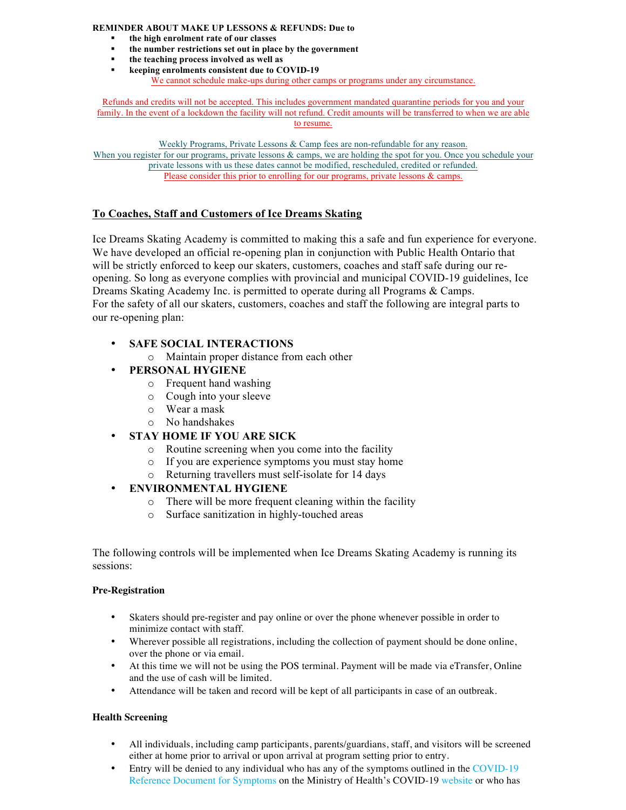#### **REMINDER ABOUT MAKE UP LESSONS & REFUNDS: Due to**

- ! **the high enrolment rate of our classes**
- ! **the number restrictions set out in place by the government**
- ! **the teaching process involved as well as**
- ! **keeping enrolments consistent due to COVID-19**
	- We cannot schedule make-ups during other camps or programs under any circumstance.

Refunds and credits will not be accepted. This includes government mandated quarantine periods for you and your family. In the event of a lockdown the facility will not refund. Credit amounts will be transferred to when we are able to resume.

Weekly Programs, Private Lessons & Camp fees are non-refundable for any reason. When you register for our programs, private lessons & camps, we are holding the spot for you. Once you schedule your private lessons with us these dates cannot be modified, rescheduled, credited or refunded. Please consider this prior to enrolling for our programs, private lessons & camps.

#### **To Coaches, Staff and Customers of Ice Dreams Skating**

Ice Dreams Skating Academy is committed to making this a safe and fun experience for everyone. We have developed an official re-opening plan in conjunction with Public Health Ontario that will be strictly enforced to keep our skaters, customers, coaches and staff safe during our reopening. So long as everyone complies with provincial and municipal COVID-19 guidelines, Ice Dreams Skating Academy Inc. is permitted to operate during all Programs & Camps. For the safety of all our skaters, customers, coaches and staff the following are integral parts to our re-opening plan:

### • **SAFE SOCIAL INTERACTIONS**

o Maintain proper distance from each other

### • **PERSONAL HYGIENE**

- o Frequent hand washing
- o Cough into your sleeve
- o Wear a mask
- o No handshakes

## • **STAY HOME IF YOU ARE SICK**

- o Routine screening when you come into the facility
- o If you are experience symptoms you must stay home
- o Returning travellers must self-isolate for 14 days

## • **ENVIRONMENTAL HYGIENE**

- o There will be more frequent cleaning within the facility
- o Surface sanitization in highly-touched areas

The following controls will be implemented when Ice Dreams Skating Academy is running its sessions:

#### **Pre-Registration**

- Skaters should pre-register and pay online or over the phone whenever possible in order to minimize contact with staff.
- Wherever possible all registrations, including the collection of payment should be done online, over the phone or via email.
- At this time we will not be using the POS terminal. Payment will be made via eTransfer, Online and the use of cash will be limited.
- Attendance will be taken and record will be kept of all participants in case of an outbreak.

#### **Health Screening**

- All individuals, including camp participants, parents/guardians, staff, and visitors will be screened either at home prior to arrival or upon arrival at program setting prior to entry.
- Entry will be denied to any individual who has any of the symptoms outlined in the COVID-19 Reference Document for Symptoms on the Ministry of Health's COVID-19 website or who has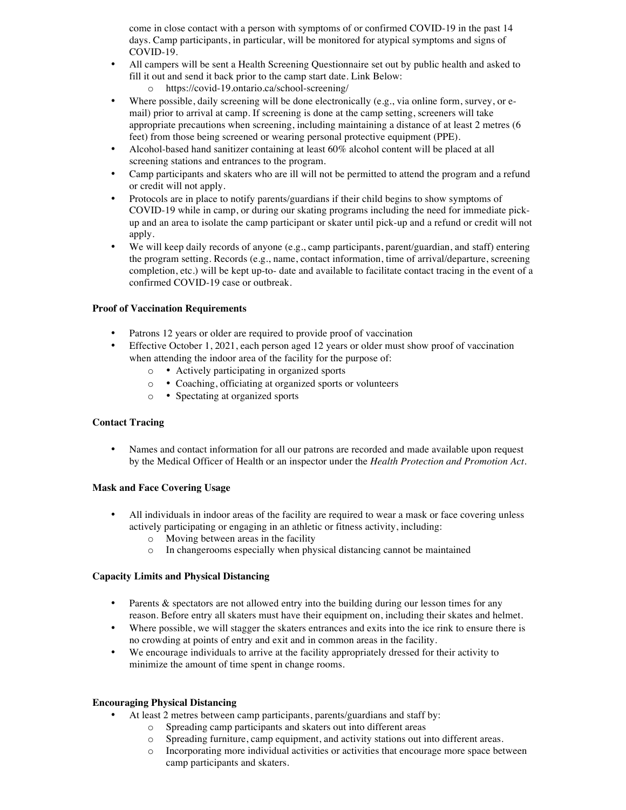come in close contact with a person with symptoms of or confirmed COVID-19 in the past 14 days. Camp participants, in particular, will be monitored for atypical symptoms and signs of COVID-19.

- All campers will be sent a Health Screening Questionnaire set out by public health and asked to fill it out and send it back prior to the camp start date. Link Below:
	- o https://covid-19.ontario.ca/school-screening/
- Where possible, daily screening will be done electronically (e.g., via online form, survey, or email) prior to arrival at camp. If screening is done at the camp setting, screeners will take appropriate precautions when screening, including maintaining a distance of at least 2 metres (6 feet) from those being screened or wearing personal protective equipment (PPE).
- Alcohol-based hand sanitizer containing at least 60% alcohol content will be placed at all screening stations and entrances to the program.
- Camp participants and skaters who are ill will not be permitted to attend the program and a refund or credit will not apply.
- Protocols are in place to notify parents/guardians if their child begins to show symptoms of COVID-19 while in camp, or during our skating programs including the need for immediate pickup and an area to isolate the camp participant or skater until pick-up and a refund or credit will not apply.
- We will keep daily records of anyone (e.g., camp participants, parent/guardian, and staff) entering the program setting. Records (e.g., name, contact information, time of arrival/departure, screening completion, etc.) will be kept up-to- date and available to facilitate contact tracing in the event of a confirmed COVID-19 case or outbreak.

#### **Proof of Vaccination Requirements**

- Patrons 12 years or older are required to provide proof of vaccination
- Effective October 1, 2021, each person aged 12 years or older must show proof of vaccination when attending the indoor area of the facility for the purpose of:
	- o Actively participating in organized sports
	- o Coaching, officiating at organized sports or volunteers
	- o Spectating at organized sports

#### **Contact Tracing**

• Names and contact information for all our patrons are recorded and made available upon request by the Medical Officer of Health or an inspector under the *Health Protection and Promotion Act*.

#### **Mask and Face Covering Usage**

- All individuals in indoor areas of the facility are required to wear a mask or face covering unless actively participating or engaging in an athletic or fitness activity, including:
	- o Moving between areas in the facility
	- o In changerooms especially when physical distancing cannot be maintained

#### **Capacity Limits and Physical Distancing**

- Parents & spectators are not allowed entry into the building during our lesson times for any reason. Before entry all skaters must have their equipment on, including their skates and helmet.
- Where possible, we will stagger the skaters entrances and exits into the ice rink to ensure there is no crowding at points of entry and exit and in common areas in the facility.
- We encourage individuals to arrive at the facility appropriately dressed for their activity to minimize the amount of time spent in change rooms.

#### **Encouraging Physical Distancing**

- At least 2 metres between camp participants, parents/guardians and staff by:
	- o Spreading camp participants and skaters out into different areas
	- o Spreading furniture, camp equipment, and activity stations out into different areas.
	- o Incorporating more individual activities or activities that encourage more space between camp participants and skaters.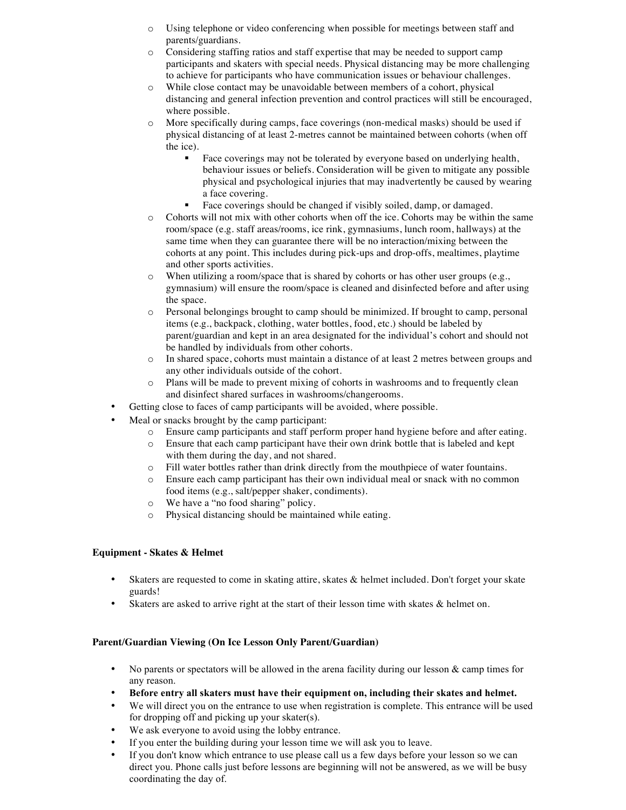- o Using telephone or video conferencing when possible for meetings between staff and parents/guardians.
- o Considering staffing ratios and staff expertise that may be needed to support camp participants and skaters with special needs. Physical distancing may be more challenging to achieve for participants who have communication issues or behaviour challenges.
- o While close contact may be unavoidable between members of a cohort, physical distancing and general infection prevention and control practices will still be encouraged, where possible.
- o More specifically during camps, face coverings (non-medical masks) should be used if physical distancing of at least 2-metres cannot be maintained between cohorts (when off the ice).
	- ! Face coverings may not be tolerated by everyone based on underlying health, behaviour issues or beliefs. Consideration will be given to mitigate any possible physical and psychological injuries that may inadvertently be caused by wearing a face covering.
	- ! Face coverings should be changed if visibly soiled, damp, or damaged.
- o Cohorts will not mix with other cohorts when off the ice. Cohorts may be within the same room/space (e.g. staff areas/rooms, ice rink, gymnasiums, lunch room, hallways) at the same time when they can guarantee there will be no interaction/mixing between the cohorts at any point. This includes during pick-ups and drop-offs, mealtimes, playtime and other sports activities.
- o When utilizing a room/space that is shared by cohorts or has other user groups (e.g., gymnasium) will ensure the room/space is cleaned and disinfected before and after using the space.
- o Personal belongings brought to camp should be minimized. If brought to camp, personal items (e.g., backpack, clothing, water bottles, food, etc.) should be labeled by parent/guardian and kept in an area designated for the individual's cohort and should not be handled by individuals from other cohorts.
- o In shared space, cohorts must maintain a distance of at least 2 metres between groups and any other individuals outside of the cohort.
- o Plans will be made to prevent mixing of cohorts in washrooms and to frequently clean and disinfect shared surfaces in washrooms/changerooms.
- Getting close to faces of camp participants will be avoided, where possible.
- Meal or snacks brought by the camp participant:
	- o Ensure camp participants and staff perform proper hand hygiene before and after eating.
	- o Ensure that each camp participant have their own drink bottle that is labeled and kept with them during the day, and not shared.
	- o Fill water bottles rather than drink directly from the mouthpiece of water fountains.
	- o Ensure each camp participant has their own individual meal or snack with no common food items (e.g., salt/pepper shaker, condiments).
	- o We have a "no food sharing" policy.
	- o Physical distancing should be maintained while eating.

#### **Equipment - Skates & Helmet**

- Skaters are requested to come in skating attire, skates & helmet included. Don't forget your skate guards!
- Skaters are asked to arrive right at the start of their lesson time with skates & helmet on.

## **Parent/Guardian Viewing (On Ice Lesson Only Parent/Guardian)**

- No parents or spectators will be allowed in the arena facility during our lesson & camp times for any reason.
- **Before entry all skaters must have their equipment on, including their skates and helmet.**
- We will direct you on the entrance to use when registration is complete. This entrance will be used for dropping off and picking up your skater(s).
- We ask everyone to avoid using the lobby entrance.
- If you enter the building during your lesson time we will ask you to leave.
- If you don't know which entrance to use please call us a few days before your lesson so we can direct you. Phone calls just before lessons are beginning will not be answered, as we will be busy coordinating the day of.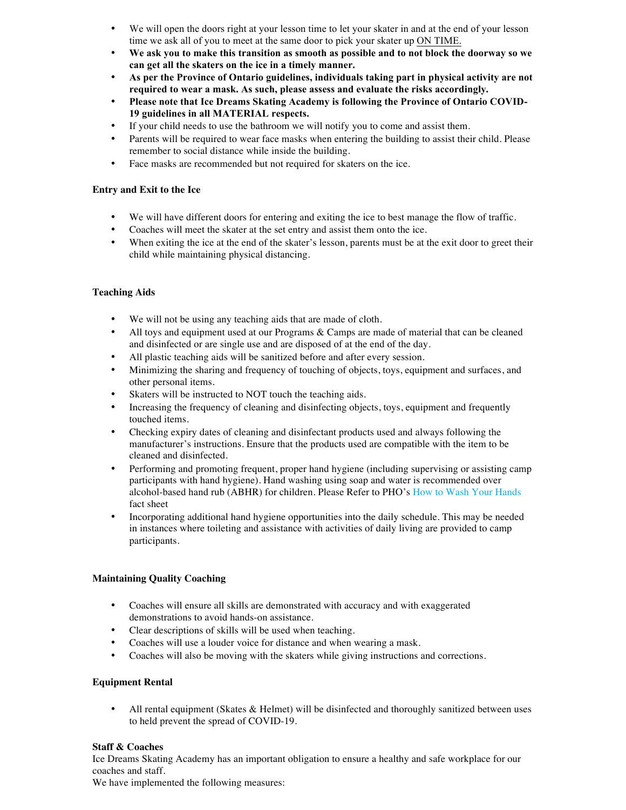- We will open the doors right at your lesson time to let your skater in and at the end of your lesson time we ask all of you to meet at the same door to pick your skater up ON TIME.
- **We ask you to make this transition as smooth as possible and to not block the doorway so we can get all the skaters on the ice in a timely manner.**
- **As per the Province of Ontario guidelines, individuals taking part in physical activity are not required to wear a mask. As such, please assess and evaluate the risks accordingly.**
- **Please note that Ice Dreams Skating Academy is following the Province of Ontario COVID-19 guidelines in all MATERIAL respects.**
- If your child needs to use the bathroom we will notify you to come and assist them.
- Parents will be required to wear face masks when entering the building to assist their child. Please remember to social distance while inside the building.
- Face masks are recommended but not required for skaters on the ice.

### **Entry and Exit to the Ice**

- We will have different doors for entering and exiting the ice to best manage the flow of traffic.
- Coaches will meet the skater at the set entry and assist them onto the ice.
- When exiting the ice at the end of the skater's lesson, parents must be at the exit door to greet their child while maintaining physical distancing.

### **Teaching Aids**

- We will not be using any teaching aids that are made of cloth.
- All toys and equipment used at our Programs & Camps are made of material that can be cleaned and disinfected or are single use and are disposed of at the end of the day.
- All plastic teaching aids will be sanitized before and after every session.
- Minimizing the sharing and frequency of touching of objects, toys, equipment and surfaces, and other personal items.
- Skaters will be instructed to NOT touch the teaching aids.
- Increasing the frequency of cleaning and disinfecting objects, toys, equipment and frequently touched items.
- Checking expiry dates of cleaning and disinfectant products used and always following the manufacturer's instructions. Ensure that the products used are compatible with the item to be cleaned and disinfected.
- Performing and promoting frequent, proper hand hygiene (including supervising or assisting camp participants with hand hygiene). Hand washing using soap and water is recommended over alcohol-based hand rub (ABHR) for children. Please Refer to PHO's How to Wash Your Hands fact sheet
- Incorporating additional hand hygiene opportunities into the daily schedule. This may be needed in instances where toileting and assistance with activities of daily living are provided to camp participants.

## **Maintaining Quality Coaching**

- Coaches will ensure all skills are demonstrated with accuracy and with exaggerated demonstrations to avoid hands-on assistance.
- Clear descriptions of skills will be used when teaching.
- Coaches will use a louder voice for distance and when wearing a mask.
- Coaches will also be moving with the skaters while giving instructions and corrections.

#### **Equipment Rental**

• All rental equipment (Skates & Helmet) will be disinfected and thoroughly sanitized between uses to held prevent the spread of COVID-19.

#### **Staff & Coaches**

Ice Dreams Skating Academy has an important obligation to ensure a healthy and safe workplace for our coaches and staff.

We have implemented the following measures: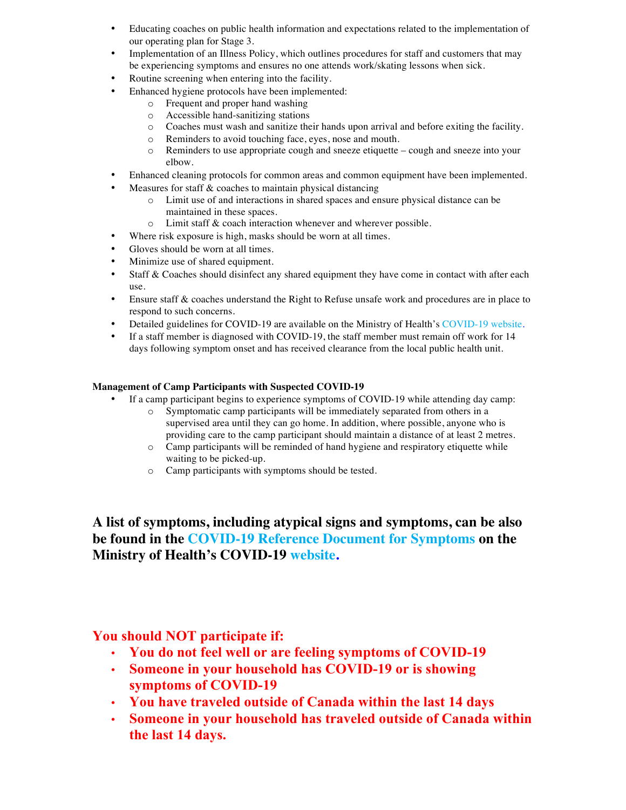- Educating coaches on public health information and expectations related to the implementation of our operating plan for Stage 3.
- Implementation of an Illness Policy, which outlines procedures for staff and customers that may be experiencing symptoms and ensures no one attends work/skating lessons when sick.
- Routine screening when entering into the facility.
- Enhanced hygiene protocols have been implemented:
	- o Frequent and proper hand washing
	- o Accessible hand-sanitizing stations
	- o Coaches must wash and sanitize their hands upon arrival and before exiting the facility.
	- o Reminders to avoid touching face, eyes, nose and mouth.
	- o Reminders to use appropriate cough and sneeze etiquette cough and sneeze into your elbow.
- Enhanced cleaning protocols for common areas and common equipment have been implemented.
- Measures for staff  $\&$  coaches to maintain physical distancing
	- o Limit use of and interactions in shared spaces and ensure physical distance can be maintained in these spaces.
	- o Limit staff & coach interaction whenever and wherever possible.
- Where risk exposure is high, masks should be worn at all times.
- Gloves should be worn at all times.
- Minimize use of shared equipment.
- Staff & Coaches should disinfect any shared equipment they have come in contact with after each use.
- Ensure staff & coaches understand the Right to Refuse unsafe work and procedures are in place to respond to such concerns.
- Detailed guidelines for COVID-19 are available on the Ministry of Health's COVID-19 website.
- If a staff member is diagnosed with COVID-19, the staff member must remain off work for 14 days following symptom onset and has received clearance from the local public health unit.

### **Management of Camp Participants with Suspected COVID-19**

- If a camp participant begins to experience symptoms of COVID-19 while attending day camp:
	- o Symptomatic camp participants will be immediately separated from others in a supervised area until they can go home. In addition, where possible, anyone who is providing care to the camp participant should maintain a distance of at least 2 metres.
	- o Camp participants will be reminded of hand hygiene and respiratory etiquette while waiting to be picked-up.
	- o Camp participants with symptoms should be tested.

**A list of symptoms, including atypical signs and symptoms, can be also be found in the COVID-19 Reference Document for Symptoms on the Ministry of Health's COVID-19 website.** 

# **You should NOT participate if:**

- **You do not feel well or are feeling symptoms of COVID-19**
- **Someone in your household has COVID-19 or is showing symptoms of COVID-19**
- **You have traveled outside of Canada within the last 14 days**
- **Someone in your household has traveled outside of Canada within the last 14 days.**